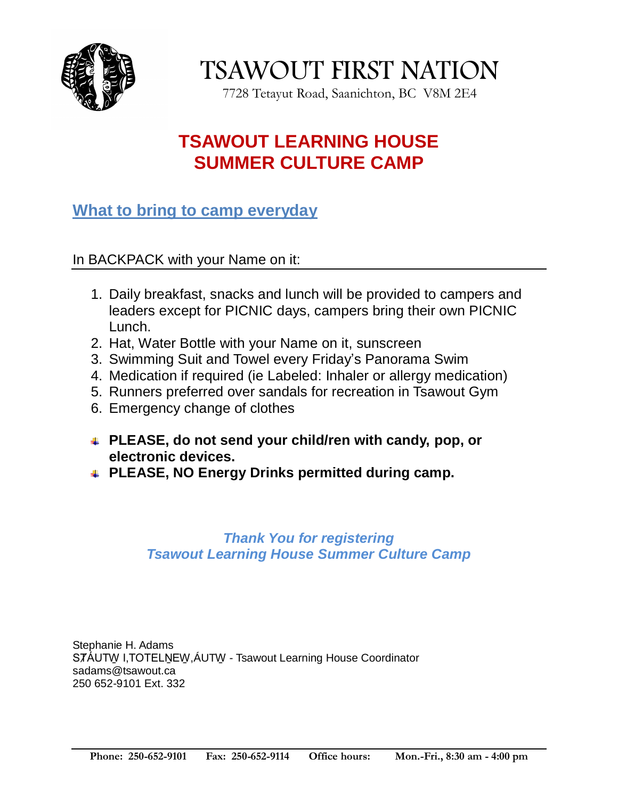

TSAWOUT FIRST NATION

7728 Tetayut Road, Saanichton, BC V8M 2E4

## **TSAWOUT LEARNING HOUSE SUMMER CULTURE CAMP**

#### **What to bring to camp everyday**

In BACKPACK with your Name on it:

- 1. Daily breakfast, snacks and lunch will be provided to campers and leaders except for PICNIC days, campers bring their own PICNIC Lunch.
- 2. Hat, Water Bottle with your Name on it, sunscreen
- 3. Swimming Suit and Towel every Friday's Panorama Swim
- 4. Medication if required (ie Labeled: Inhaler or allergy medication)
- 5. Runners preferred over sandals for recreation in Tsawout Gym
- 6. Emergency change of clothes
- **PLEASE, do not send your child/ren with candy, pop, or electronic devices.**
- **PLEASE, NO Energy Drinks permitted during camp.**

#### *Thank You for registering Tsawout Learning House Summer Culture Camp*

Stephanie H. Adams STÁUTW I,TOTELNEW, ÁUTW - Tsawout Learning House Coordinator sadams@tsawout.ca 250 652-9101 Ext. 332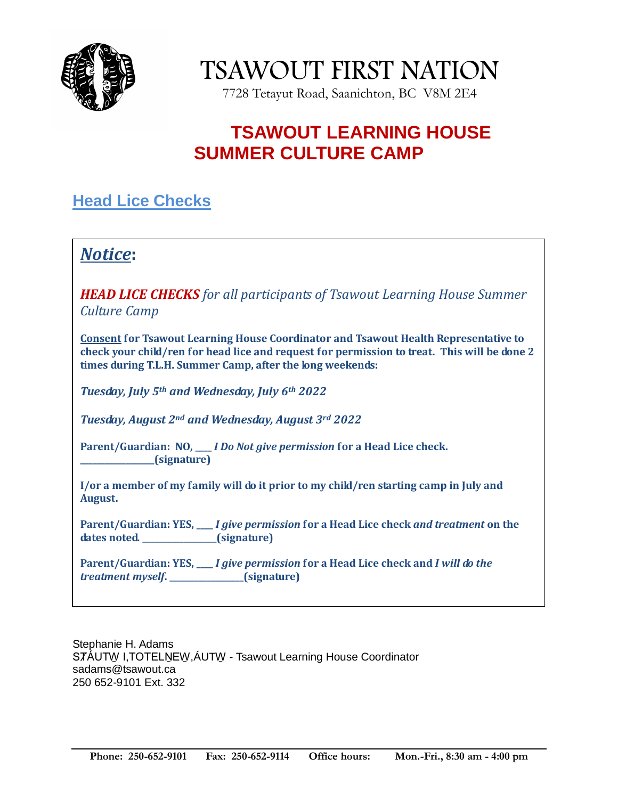

TSAWOUT FIRST NATION

7728 Tetayut Road, Saanichton, BC V8M 2E4

### **TSAWOUT LEARNING HOUSE SUMMER CULTURE CAMP**

### **Head Lice Checks**

### *Notice***:**

*HEAD LICE CHECKS for all participants of Tsawout Learning House Summer Culture Camp*

**Consent for Tsawout Learning House Coordinator and Tsawout Health Representative to check your child/ren for head lice and request for permission to treat. This will be done 2 times during T.L.H. Summer Camp, after the long weekends:**

*Tuesday, July 5th and Wednesday, July 6th 2022*

*Tuesday, August 2nd and Wednesday, August 3rd 2022*

**Parent/Guardian: NO, \_\_\_\_** *I Do Not give permission* **for a Head Lice check. \_\_\_\_\_\_\_\_\_\_\_\_\_\_\_\_\_\_(signature)**

**I/or a member of my family will do it prior to my child/ren starting camp in July and August.**

**Parent/Guardian: YES, \_\_\_\_** *I give permission* **for a Head Lice check** *and treatment* **on the dates noted. \_\_\_\_\_\_\_\_\_\_\_\_\_\_\_\_\_\_(signature)**

**Parent/Guardian: YES, \_\_\_\_** *I give permission* **for a Head Lice check and** *I will do the treatment myself***. \_\_\_\_\_\_\_\_\_\_\_\_\_\_\_\_\_\_(signature)**

Stephanie H. Adams STÁUTW I,TOTELNEW, ÁUTW - Tsawout Learning House Coordinator sadams@tsawout.ca 250 652-9101 Ext. 332